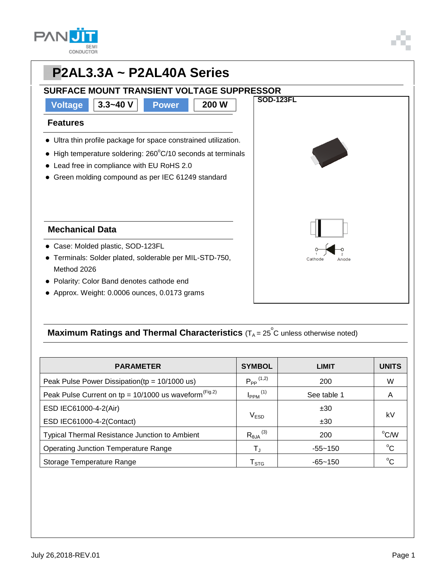

## **PP2AL3.3A ~ P2AL40A Series SURFACE MOUNT TRANSIENT VOLTAGE SUPPRESSOR SOD-123FL Voltage 3.3~40 V Power 200 W Features** Ultra thin profile package for space constrained utilization.  $\bullet$  High temperature soldering: 260 $\degree$ C/10 seconds at terminals Lead free in compliance with EU RoHS 2.0 Green molding compound as per IEC 61249 standard **Mechanical Data** Case: Molded plastic, SOD-123FL Terminals: Solder plated, solderable per MIL-STD-750, Cathode Method 2026 Polarity: Color Band denotes cathode end Approx. Weight: 0.0006 ounces, 0.0173 grams

### **Maximum Ratings and Thermal Characteristics** (T<sub>A</sub> = 25<sup>°</sup>C unless otherwise noted)

| <b>PARAMETER</b>                                                    | <b>SYMBOL</b>                 | <b>LIMIT</b> | <b>UNITS</b> |  |
|---------------------------------------------------------------------|-------------------------------|--------------|--------------|--|
| Peak Pulse Power Dissipation( $tp = 10/1000$ us)                    | $P_{PP}$ <sup>(1,2)</sup>     | 200          | W            |  |
| Peak Pulse Current on tp = $10/1000$ us waveform <sup>(Fig.2)</sup> | $I_{PPM}$ <sup>(1)</sup>      | See table 1  | А            |  |
| ESD IEC61000-4-2(Air)                                               |                               | ±30          | kV           |  |
| ESD IEC61000-4-2(Contact)                                           | V <sub>ESD</sub>              | ±30          |              |  |
| <b>Typical Thermal Resistance Junction to Ambient</b>               | $R_{\theta$ JA <sup>(3)</sup> | 200          | °C/W         |  |
| <b>Operating Junction Temperature Range</b>                         | T,                            | $-55 - 150$  | $^{\circ}C$  |  |
| Storage Temperature Range                                           | ${\sf T}_{\text{STG}}$        | $-65 - 150$  | $^{\circ}C$  |  |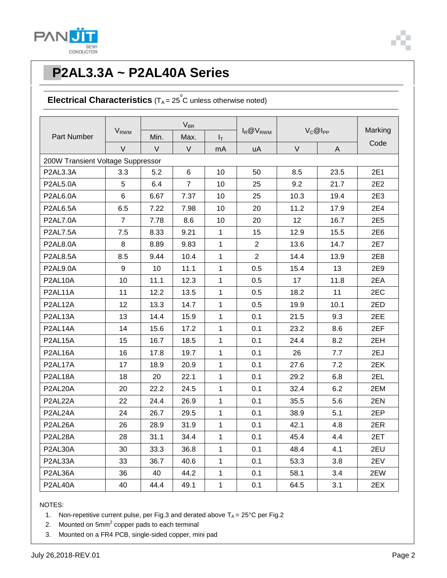

# **PP2AL3.3A ~ P2AL40A Series**

### **Electrical Characteristics**  $(T_A = 25^\circ \text{C}$  unless otherwise noted)

| Part Number                       | <b>V</b> <sub>RWM</sub> | $V_{BR}$ |                |              |                 |              |      |         |  |
|-----------------------------------|-------------------------|----------|----------------|--------------|-----------------|--------------|------|---------|--|
|                                   |                         | Min.     | Max.           | $I_T$        | $I_R @ V_{RWM}$ | $V_C@I_{PP}$ |      | Marking |  |
|                                   | $\vee$                  | V        | V              | mA           | uA              | $\vee$       | A    | Code    |  |
| 200W Transient Voltage Suppressor |                         |          |                |              |                 |              |      |         |  |
| P2AL3.3A                          | 3.3                     | 5.2      | 6              | 10           | 50              | 8.5          | 23.5 | 2E1     |  |
| <b>P2AL5.0A</b>                   | 5                       | 6.4      | $\overline{7}$ | 10           | 25              | 9.2          | 21.7 | 2E2     |  |
| P2AL6.0A                          | 6                       | 6.67     | 7.37           | 10           | 25              | 10.3         | 19.4 | 2E3     |  |
| <b>P2AL6.5A</b>                   | 6.5                     | 7.22     | 7.98           | 10           | 20              | 11.2         | 17.9 | 2E4     |  |
| <b>P2AL7.0A</b>                   | $\overline{7}$          | 7.78     | 8.6            | 10           | 20              | 12           | 16.7 | 2E5     |  |
| <b>P2AL7.5A</b>                   | 7.5                     | 8.33     | 9.21           | $\mathbf 1$  | 15              | 12.9         | 15.5 | 2E6     |  |
| <b>P2AL8.0A</b>                   | 8                       | 8.89     | 9.83           | 1            | $\overline{2}$  | 13.6         | 14.7 | 2E7     |  |
| <b>P2AL8.5A</b>                   | 8.5                     | 9.44     | 10.4           | 1            | $\overline{2}$  | 14.4         | 13.9 | 2E8     |  |
| <b>P2AL9.0A</b>                   | 9                       | 10       | 11.1           | $\mathbf{1}$ | 0.5             | 15.4         | 13   | 2E9     |  |
| P2AL10A                           | 10                      | 11.1     | 12.3           | $\mathbf{1}$ | 0.5             | 17           | 11.8 | 2EA     |  |
| P2AL11A                           | 11                      | 12.2     | 13.5           | 1            | 0.5             | 18.2         | 11   | 2EC     |  |
| P2AL12A                           | 12                      | 13.3     | 14.7           | 1            | 0.5             | 19.9         | 10.1 | 2ED     |  |
| P2AL13A                           | 13                      | 14.4     | 15.9           | $\mathbf{1}$ | 0.1             | 21.5         | 9.3  | 2EE     |  |
| P2AL14A                           | 14                      | 15.6     | 17.2           | $\mathbf{1}$ | 0.1             | 23.2         | 8.6  | 2EF     |  |
| P2AL15A                           | 15                      | 16.7     | 18.5           | $\mathbf{1}$ | 0.1             | 24.4         | 8.2  | 2EH     |  |
| P2AL16A                           | 16                      | 17.8     | 19.7           | 1            | 0.1             | 26           | 7.7  | 2EJ     |  |
| P2AL17A                           | 17                      | 18.9     | 20.9           | $\mathbf{1}$ | 0.1             | 27.6         | 7.2  | 2EK     |  |
| P2AL18A                           | 18                      | 20       | 22.1           | 1            | 0.1             | 29.2         | 6.8  | 2EL     |  |
| P2AL20A                           | 20                      | 22.2     | 24.5           | $\mathbf{1}$ | 0.1             | 32.4         | 6.2  | 2EM     |  |
| P2AL22A                           | 22                      | 24.4     | 26.9           | 1            | 0.1             | 35.5         | 5.6  | 2EN     |  |
| P2AL24A                           | 24                      | 26.7     | 29.5           | $\mathbf 1$  | 0.1             | 38.9         | 5.1  | 2EP     |  |
| P2AL26A                           | 26                      | 28.9     | 31.9           | $\mathbf{1}$ | 0.1             | 42.1         | 4.8  | 2ER     |  |
| P2AL28A                           | 28                      | 31.1     | 34.4           | $\mathbf{1}$ | 0.1             | 45.4         | 4.4  | 2ET     |  |
| P2AL30A                           | 30                      | 33.3     | 36.8           | 1            | 0.1             | 48.4         | 4.1  | 2EU     |  |
| P2AL33A                           | 33                      | 36.7     | 40.6           | $\mathbf{1}$ | 0.1             | 53.3         | 3.8  | 2EV     |  |
| P2AL36A                           | 36                      | 40       | 44.2           | $\mathbf{1}$ | 0.1             | 58.1         | 3.4  | 2EW     |  |
| P2AL40A                           | 40                      | 44.4     | 49.1           | $\mathbf{1}$ | 0.1             | 64.5         | 3.1  | 2EX     |  |

NOTES:

1. Non-repetitive current pulse, per Fig.3 and derated above  $T_A = 25^{\circ}C$  per Fig.2

2. Mounted on  $5$ mm $^2$  copper pads to each terminal

3. Mounted on a FR4 PCB, single-sided copper, mini pad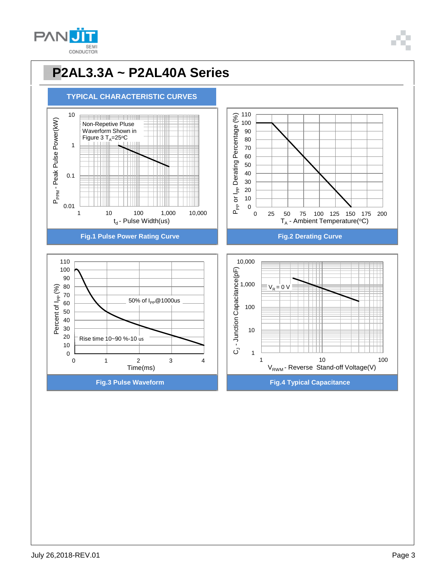

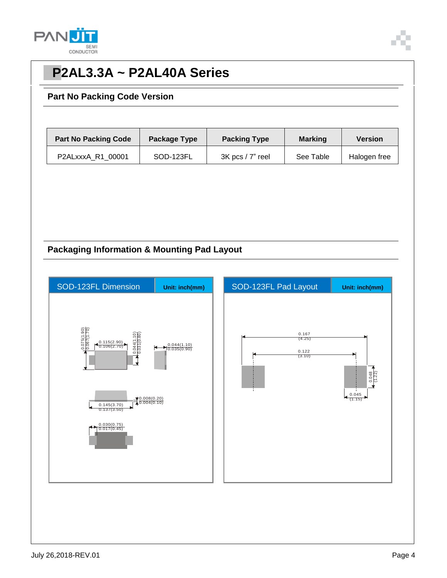

# **PP2AL3.3A ~ P2AL40A Series**

#### **Part No Packing Code Version**

| <b>Part No Packing Code</b> | Package Type | <b>Packing Type</b>  | <b>Marking</b> | <b>Version</b> |
|-----------------------------|--------------|----------------------|----------------|----------------|
| P2ALxxxA R1 00001           | SOD-123FL    | $3K$ pcs $/7$ " reel | See Table      | Halogen free   |

### **Packaging Information & Mounting Pad Layout**

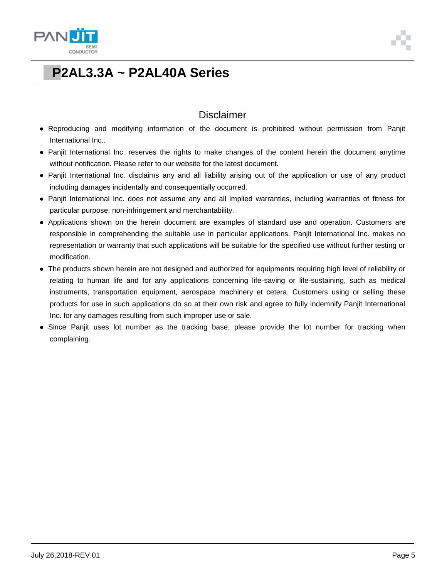



# **PP2AL3.3A ~ P2AL40A Series**

### **Disclaimer**

- Reproducing and modifying information of the document is prohibited without permission from Panjit International Inc..
- Panjit International Inc. reserves the rights to make changes of the content herein the document anytime without notification. Please refer to our website for the latest document.
- Panjit International Inc. disclaims any and all liability arising out of the application or use of any product including damages incidentally and consequentially occurred.
- Panjit International Inc. does not assume any and all implied warranties, including warranties of fitness for particular purpose, non-infringement and merchantability.
- Applications shown on the herein document are examples of standard use and operation. Customers are responsible in comprehending the suitable use in particular applications. Panjit International Inc. makes no representation or warranty that such applications will be suitable for the specified use without further testing or modification.
- The products shown herein are not designed and authorized for equipments requiring high level of reliability or relating to human life and for any applications concerning life-saving or life-sustaining, such as medical instruments, transportation equipment, aerospace machinery et cetera. Customers using or selling these products for use in such applications do so at their own risk and agree to fully indemnify Panjit International Inc. for any damages resulting from such improper use or sale.
- Since Panjit uses lot number as the tracking base, please provide the lot number for tracking when complaining.